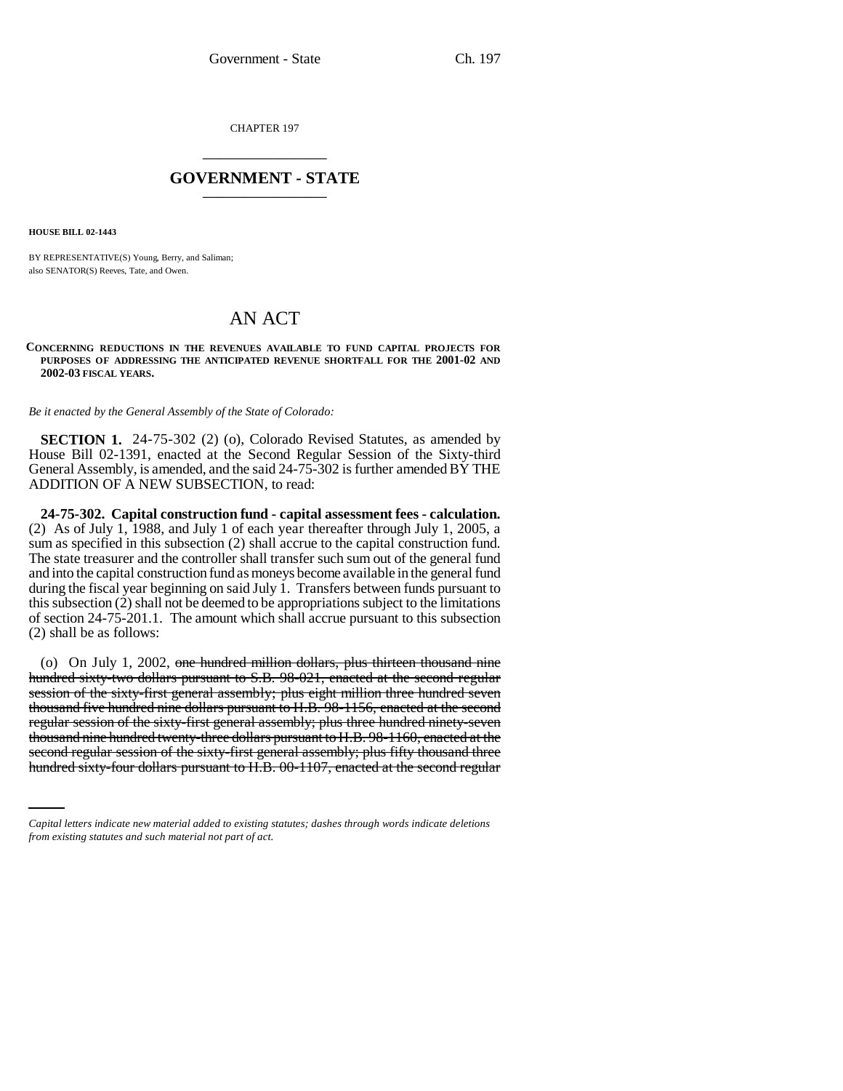CHAPTER 197 \_\_\_\_\_\_\_\_\_\_\_\_\_\_\_

## **GOVERNMENT - STATE** \_\_\_\_\_\_\_\_\_\_\_\_\_\_\_

**HOUSE BILL 02-1443**

BY REPRESENTATIVE(S) Young, Berry, and Saliman; also SENATOR(S) Reeves, Tate, and Owen.

## AN ACT

## **CONCERNING REDUCTIONS IN THE REVENUES AVAILABLE TO FUND CAPITAL PROJECTS FOR PURPOSES OF ADDRESSING THE ANTICIPATED REVENUE SHORTFALL FOR THE 2001-02 AND 2002-03 FISCAL YEARS.**

*Be it enacted by the General Assembly of the State of Colorado:*

**SECTION 1.** 24-75-302 (2) (o), Colorado Revised Statutes, as amended by House Bill 02-1391, enacted at the Second Regular Session of the Sixty-third General Assembly, is amended, and the said 24-75-302 is further amended BY THE ADDITION OF A NEW SUBSECTION, to read:

**24-75-302. Capital construction fund - capital assessment fees - calculation.** (2) As of July 1, 1988, and July 1 of each year thereafter through July 1, 2005, a sum as specified in this subsection (2) shall accrue to the capital construction fund. The state treasurer and the controller shall transfer such sum out of the general fund and into the capital construction fund as moneys become available in the general fund during the fiscal year beginning on said July 1. Transfers between funds pursuant to this subsection (2) shall not be deemed to be appropriations subject to the limitations of section 24-75-201.1. The amount which shall accrue pursuant to this subsection (2) shall be as follows:

thousand nine hundred twenty-three dollars pursuant to H.B. 98-1160, enacted at the (o) On July 1, 2002, one hundred million dollars, plus thirteen thousand nine hundred sixty-two dollars pursuant to S.B. 98-021, enacted at the second regular session of the sixty-first general assembly; plus eight million three hundred seven thousand five hundred nine dollars pursuant to H.B. 98-1156, enacted at the second regular session of the sixty-first general assembly; plus three hundred ninety-seven second regular session of the sixty-first general assembly; plus fifty thousand three hundred sixty-four dollars pursuant to H.B. 00-1107, enacted at the second regular

*Capital letters indicate new material added to existing statutes; dashes through words indicate deletions from existing statutes and such material not part of act.*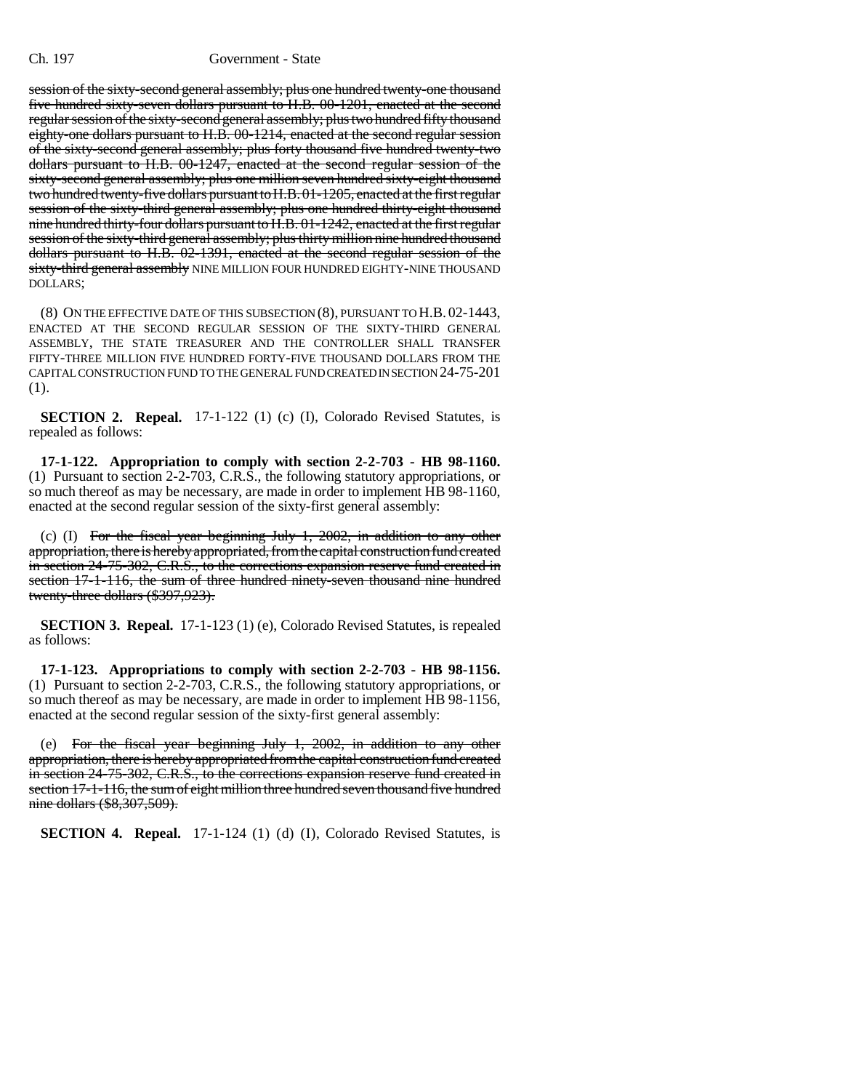session of the sixty-second general assembly; plus one hundred twenty-one thousand five hundred sixty-seven dollars pursuant to H.B. 00-1201, enacted at the second regular session of the sixty-second general assembly; plus two hundred fifty thousand eighty-one dollars pursuant to H.B. 00-1214, enacted at the second regular session of the sixty-second general assembly; plus forty thousand five hundred twenty-two dollars pursuant to H.B. 00-1247, enacted at the second regular session of the sixty-second general assembly; plus one million seven hundred sixty-eight thousand two hundred twenty-five dollars pursuant to H.B. 01-1205, enacted at the first regular session of the sixty-third general assembly; plus one hundred thirty-eight thousand nine hundred thirty-four dollars pursuant to H.B. 01-1242, enacted at the first regular session of the sixty-third general assembly; plus thirty million nine hundred thousand dollars pursuant to H.B. 02-1391, enacted at the second regular session of the sixty-third general assembly NINE MILLION FOUR HUNDRED EIGHTY-NINE THOUSAND DOLLARS;

(8) ON THE EFFECTIVE DATE OF THIS SUBSECTION (8), PURSUANT TO H.B. 02-1443, ENACTED AT THE SECOND REGULAR SESSION OF THE SIXTY-THIRD GENERAL ASSEMBLY, THE STATE TREASURER AND THE CONTROLLER SHALL TRANSFER FIFTY-THREE MILLION FIVE HUNDRED FORTY-FIVE THOUSAND DOLLARS FROM THE CAPITAL CONSTRUCTION FUND TO THE GENERAL FUND CREATED IN SECTION 24-75-201 (1).

**SECTION 2. Repeal.** 17-1-122 (1) (c) (I), Colorado Revised Statutes, is repealed as follows:

**17-1-122. Appropriation to comply with section 2-2-703 - HB 98-1160.** (1) Pursuant to section 2-2-703, C.R.S., the following statutory appropriations, or so much thereof as may be necessary, are made in order to implement HB 98-1160, enacted at the second regular session of the sixty-first general assembly:

(c) (I) For the fiscal year beginning July 1, 2002, in addition to any other appropriation, there is hereby appropriated, from the capital construction fund created in section 24-75-302, C.R.S., to the corrections expansion reserve fund created in section 17-1-116, the sum of three hundred ninety-seven thousand nine hundred twenty-three dollars (\$397,923).

**SECTION 3. Repeal.** 17-1-123 (1) (e), Colorado Revised Statutes, is repealed as follows:

**17-1-123. Appropriations to comply with section 2-2-703 - HB 98-1156.** (1) Pursuant to section 2-2-703, C.R.S., the following statutory appropriations, or so much thereof as may be necessary, are made in order to implement HB 98-1156, enacted at the second regular session of the sixty-first general assembly:

(e) For the fiscal year beginning July 1, 2002, in addition to any other appropriation, there is hereby appropriated from the capital construction fund created in section 24-75-302, C.R.S., to the corrections expansion reserve fund created in section 17-1-116, the sum of eight million three hundred seven thousand five hundred nine dollars (\$8,307,509).

**SECTION 4. Repeal.** 17-1-124 (1) (d) (I), Colorado Revised Statutes, is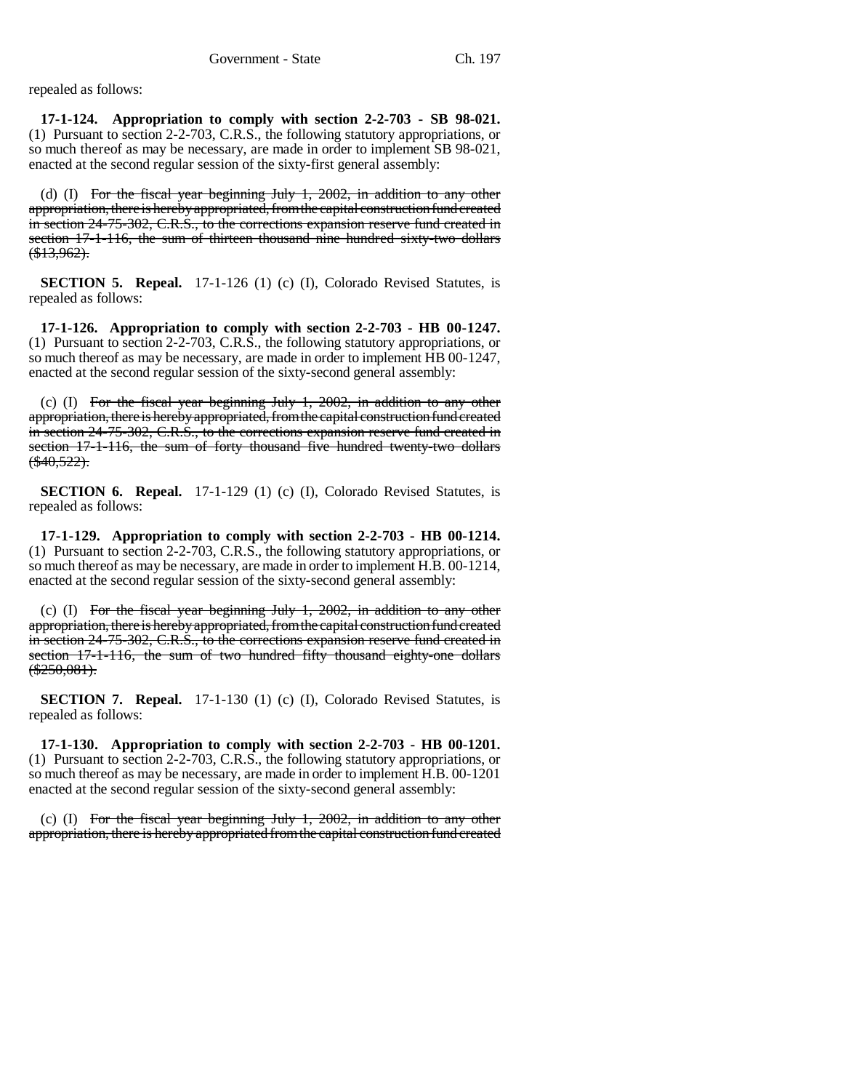repealed as follows:

**17-1-124. Appropriation to comply with section 2-2-703 - SB 98-021.** (1) Pursuant to section 2-2-703, C.R.S., the following statutory appropriations, or so much thereof as may be necessary, are made in order to implement SB 98-021, enacted at the second regular session of the sixty-first general assembly:

(d) (I) For the fiscal year beginning July 1, 2002, in addition to any other appropriation, there is hereby appropriated, from the capital construction fund created in section 24-75-302, C.R.S., to the corrections expansion reserve fund created in section 17-1-116, the sum of thirteen thousand nine hundred sixty-two dollars  $(*13,962).$ 

**SECTION 5. Repeal.** 17-1-126 (1) (c) (I), Colorado Revised Statutes, is repealed as follows:

**17-1-126. Appropriation to comply with section 2-2-703 - HB 00-1247.** (1) Pursuant to section 2-2-703, C.R.S., the following statutory appropriations, or so much thereof as may be necessary, are made in order to implement HB 00-1247, enacted at the second regular session of the sixty-second general assembly:

(c) (I) For the fiscal year beginning July 1, 2002, in addition to any other appropriation, there is hereby appropriated, from the capital construction fund created in section 24-75-302, C.R.S., to the corrections expansion reserve fund created in section 17-1-116, the sum of forty thousand five hundred twenty-two dollars  $(*40,522).$ 

**SECTION 6. Repeal.** 17-1-129 (1) (c) (I), Colorado Revised Statutes, is repealed as follows:

**17-1-129. Appropriation to comply with section 2-2-703 - HB 00-1214.** (1) Pursuant to section 2-2-703, C.R.S., the following statutory appropriations, or so much thereof as may be necessary, are made in order to implement H.B. 00-1214, enacted at the second regular session of the sixty-second general assembly:

(c) (I) For the fiscal year beginning July 1, 2002, in addition to any other appropriation, there is hereby appropriated, from the capital construction fund created in section 24-75-302, C.R.S., to the corrections expansion reserve fund created in section 17-1-116, the sum of two hundred fifty thousand eighty-one dollars  $(*250,081).$ 

**SECTION 7. Repeal.** 17-1-130 (1) (c) (I), Colorado Revised Statutes, is repealed as follows:

**17-1-130. Appropriation to comply with section 2-2-703 - HB 00-1201.** (1) Pursuant to section 2-2-703, C.R.S., the following statutory appropriations, or so much thereof as may be necessary, are made in order to implement H.B. 00-1201 enacted at the second regular session of the sixty-second general assembly:

(c) (I) For the fiscal year beginning July 1, 2002, in addition to any other appropriation, there is hereby appropriated from the capital construction fund created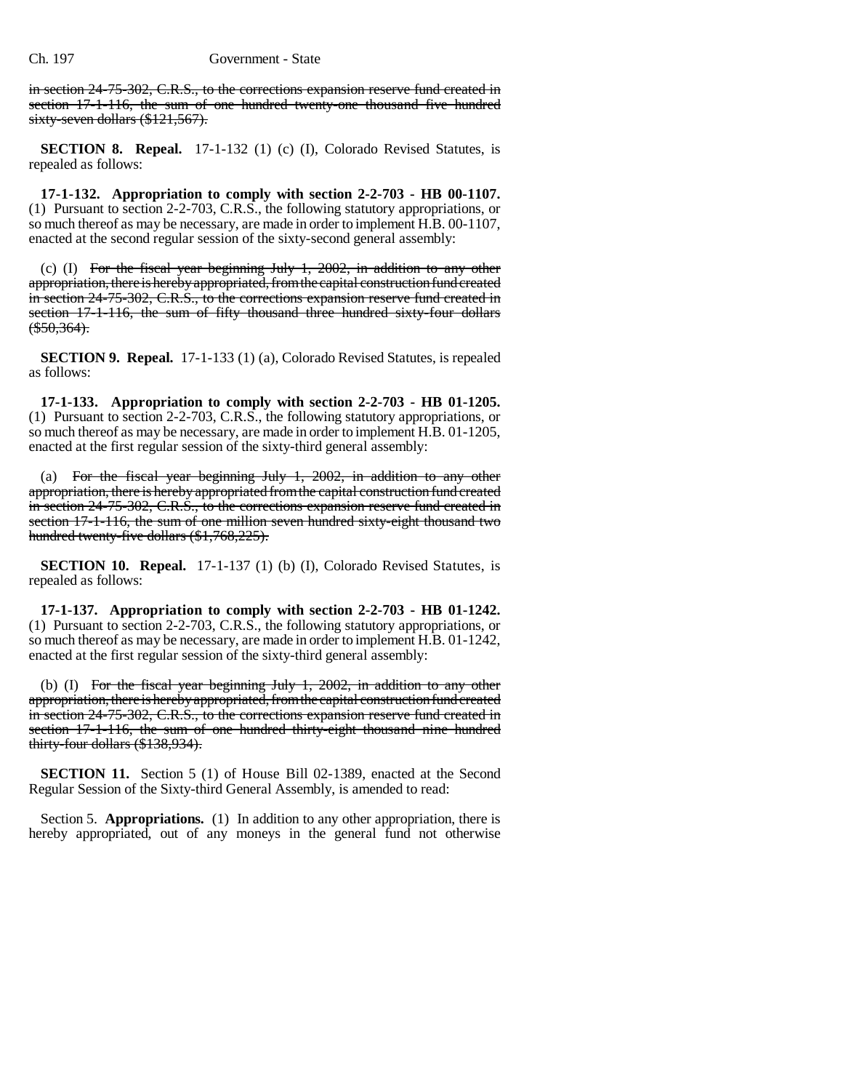in section 24-75-302, C.R.S., to the corrections expansion reserve fund created in section 17-1-116, the sum of one hundred twenty-one thousand five hundred sixty-seven dollars (\$121,567).

**SECTION 8. Repeal.** 17-1-132 (1) (c) (I), Colorado Revised Statutes, is repealed as follows:

**17-1-132. Appropriation to comply with section 2-2-703 - HB 00-1107.** (1) Pursuant to section 2-2-703, C.R.S., the following statutory appropriations, or so much thereof as may be necessary, are made in order to implement H.B. 00-1107, enacted at the second regular session of the sixty-second general assembly:

(c) (I) For the fiscal year beginning July 1, 2002, in addition to any other appropriation, there is hereby appropriated, from the capital construction fund created in section 24-75-302, C.R.S., to the corrections expansion reserve fund created in section 17-1-116, the sum of fifty thousand three hundred sixty-four dollars  $(*550,364).$ 

**SECTION 9. Repeal.** 17-1-133 (1) (a), Colorado Revised Statutes, is repealed as follows:

**17-1-133. Appropriation to comply with section 2-2-703 - HB 01-1205.** (1) Pursuant to section 2-2-703, C.R.S., the following statutory appropriations, or so much thereof as may be necessary, are made in order to implement H.B. 01-1205, enacted at the first regular session of the sixty-third general assembly:

(a) For the fiscal year beginning July 1, 2002, in addition to any other appropriation, there is hereby appropriated from the capital construction fund created in section 24-75-302, C.R.S., to the corrections expansion reserve fund created in section 17-1-116, the sum of one million seven hundred sixty-eight thousand two hundred twenty-five dollars (\$1,768,225).

**SECTION 10. Repeal.** 17-1-137 (1) (b) (I), Colorado Revised Statutes, is repealed as follows:

**17-1-137. Appropriation to comply with section 2-2-703 - HB 01-1242.** (1) Pursuant to section 2-2-703, C.R.S., the following statutory appropriations, or so much thereof as may be necessary, are made in order to implement H.B. 01-1242, enacted at the first regular session of the sixty-third general assembly:

(b) (I) For the fiscal year beginning July 1, 2002, in addition to any other appropriation, there is hereby appropriated, from the capital construction fund created in section 24-75-302, C.R.S., to the corrections expansion reserve fund created in section 17-1-116, the sum of one hundred thirty-eight thousand nine hundred thirty-four dollars (\$138,934).

**SECTION 11.** Section 5 (1) of House Bill 02-1389, enacted at the Second Regular Session of the Sixty-third General Assembly, is amended to read:

Section 5. **Appropriations.** (1) In addition to any other appropriation, there is hereby appropriated, out of any moneys in the general fund not otherwise